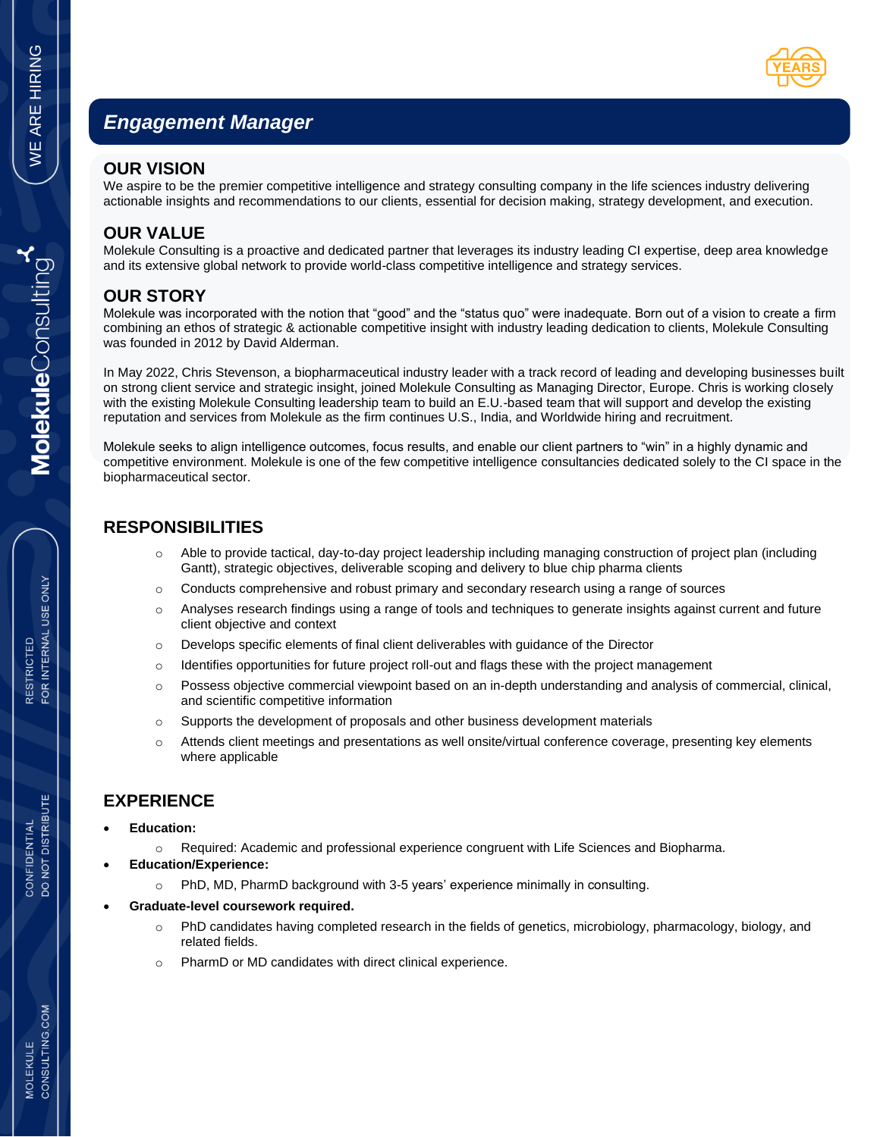

# *Engagement Manager*

#### **OUR VISION**

We aspire to be the premier competitive intelligence and strategy consulting company in the life sciences industry delivering actionable insights and recommendations to our clients, essential for decision making, strategy development, and execution.

### **OUR VALUE**

Molekule Consulting is a proactive and dedicated partner that leverages its industry leading CI expertise, deep area knowledge and its extensive global network to provide world-class competitive intelligence and strategy services.

## **OUR STORY**

Molekule was incorporated with the notion that "good" and the "status quo" were inadequate. Born out of a vision to create a firm combining an ethos of strategic & actionable competitive insight with industry leading dedication to clients, Molekule Consulting was founded in 2012 by David Alderman.

In May 2022, Chris Stevenson, a biopharmaceutical industry leader with a track record of leading and developing businesses built on strong client service and strategic insight, joined Molekule Consulting as Managing Director, Europe. Chris is working closely with the existing Molekule Consulting leadership team to build an E.U.-based team that will support and develop the existing reputation and services from Molekule as the firm continues U.S., India, and Worldwide hiring and recruitment.

Molekule seeks to align intelligence outcomes, focus results, and enable our client partners to "win" in a highly dynamic and competitive environment. Molekule is one of the few competitive intelligence consultancies dedicated solely to the CI space in the biopharmaceutical sector.

## **RESPONSIBILITIES**

- o Able to provide tactical, day-to-day project leadership including managing construction of project plan (including Gantt), strategic objectives, deliverable scoping and delivery to blue chip pharma clients
- $\circ$  Conducts comprehensive and robust primary and secondary research using a range of sources
- o Analyses research findings using a range of tools and techniques to generate insights against current and future client objective and context
- $\circ$  Develops specific elements of final client deliverables with guidance of the Director
- $\circ$  Identifies opportunities for future project roll-out and flags these with the project management
- o Possess objective commercial viewpoint based on an in-depth understanding and analysis of commercial, clinical, and scientific competitive information
- $\circ$  Supports the development of proposals and other business development materials
- o Attends client meetings and presentations as well onsite/virtual conference coverage, presenting key elements where applicable

#### **EXPERIENCE**

- **Education:**
	- o Required: Academic and professional experience congruent with Life Sciences and Biopharma.
- **Education/Experience:**
	- o PhD, MD, PharmD background with 3-5 years' experience minimally in consulting.
- **Graduate-level coursework required.** 
	- $\circ$  PhD candidates having completed research in the fields of genetics, microbiology, pharmacology, biology, and related fields.
	- o PharmD or MD candidates with direct clinical experience.